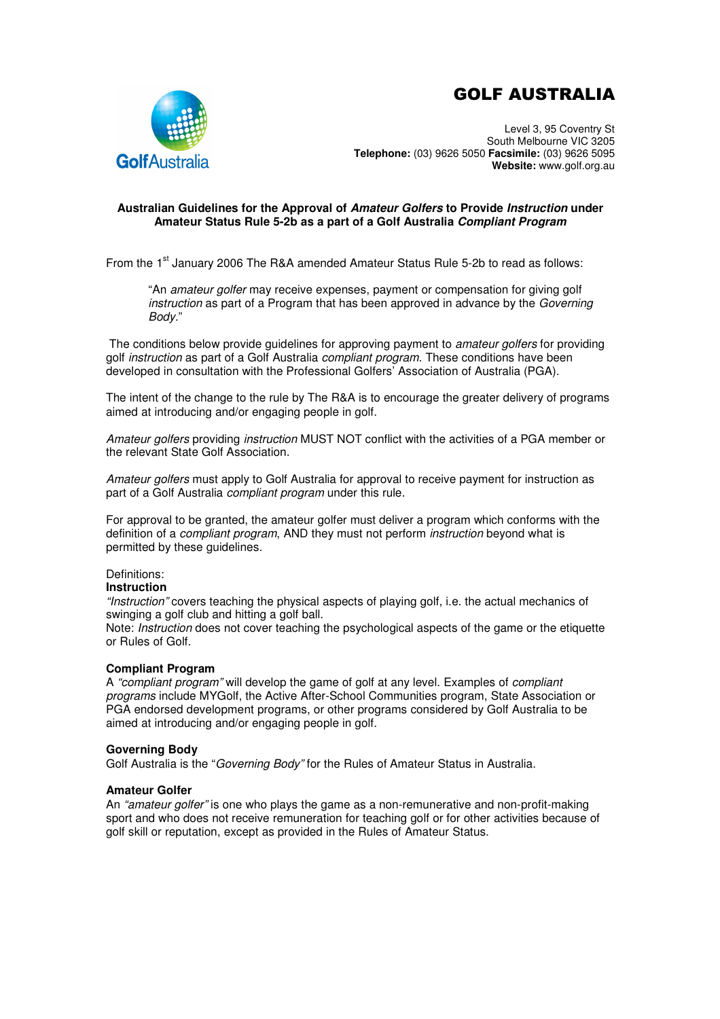# GOLF AUSTRALIA



Level 3, 95 Coventry St South Melbourne VIC 3205 **Telephone:** (03) 9626 5050 **Facsimile:** (03) 9626 5095 **Website:** www.golf.org.au

#### **Australian Guidelines for the Approval of Amateur Golfers to Provide Instruction under Amateur Status Rule 5-2b as a part of a Golf Australia Compliant Program**

From the 1<sup>st</sup> January 2006 The R&A amended Amateur Status Rule 5-2b to read as follows:

"An amateur golfer may receive expenses, payment or compensation for giving golf instruction as part of a Program that has been approved in advance by the Governing Body."

The conditions below provide guidelines for approving payment to amateur golfers for providing golf *instruction* as part of a Golf Australia *compliant program*. These conditions have been developed in consultation with the Professional Golfers' Association of Australia (PGA).

The intent of the change to the rule by The R&A is to encourage the greater delivery of programs aimed at introducing and/or engaging people in golf.

Amateur golfers providing *instruction* MUST NOT conflict with the activities of a PGA member or the relevant State Golf Association.

Amateur golfers must apply to Golf Australia for approval to receive payment for instruction as part of a Golf Australia compliant program under this rule.

For approval to be granted, the amateur golfer must deliver a program which conforms with the definition of a *compliant program*, AND they must not perform *instruction* beyond what is permitted by these guidelines.

## Definitions:

### **Instruction**

"Instruction" covers teaching the physical aspects of playing golf, i.e. the actual mechanics of swinging a golf club and hitting a golf ball.

Note: *Instruction* does not cover teaching the psychological aspects of the game or the etiquette or Rules of Golf.

#### **Compliant Program**

A "compliant program" will develop the game of golf at any level. Examples of compliant programs include MYGolf, the Active After-School Communities program, State Association or PGA endorsed development programs, or other programs considered by Golf Australia to be aimed at introducing and/or engaging people in golf.

#### **Governing Body**

Golf Australia is the "Governing Body" for the Rules of Amateur Status in Australia.

#### **Amateur Golfer**

An "amateur golfer" is one who plays the game as a non-remunerative and non-profit-making sport and who does not receive remuneration for teaching golf or for other activities because of golf skill or reputation, except as provided in the Rules of Amateur Status.